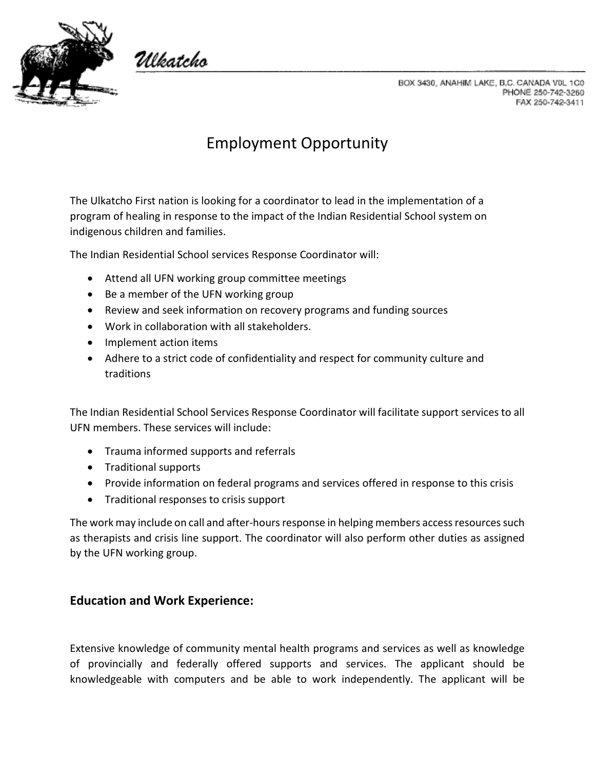

Ulkatcho

BOX 3430, ANAHIM LAKE, B.C. CANADA V0L 1C0 PHONE 250-742-3260 FAX 250-742-3411

## Employment Opportunity

The Ulkatcho First nation is looking for a coordinator to lead in the implementation of a program of healing in response to the impact of the Indian Residential School system on indigenous children and families.

The Indian Residential School services Response Coordinator will:

- Attend all UFN working group committee meetings
- Be a member of the UFN working group
- Review and seek information on recovery programs and funding sources
- Work in collaboration with all stakeholders.
- Implement action items
- Adhere to a strict code of confidentiality and respect for community culture and traditions

The Indian Residential School Services Response Coordinator will facilitate support services to all UFN members. These services will include:

- Trauma informed supports and referrals
- Traditional supports
- Provide information on federal programs and services offered in response to this crisis
- Traditional responses to crisis support

The work may include on call and after-hours response in helping members access resources such as therapists and crisis line support. The coordinator will also perform other duties as assigned by the UFN working group.

## **Education and Work Experience:**

Extensive knowledge of community mental health programs and services as well as knowledge of provincially and federally offered supports and services. The applicant should be knowledgeable with computers and be able to work independently. The applicant will be